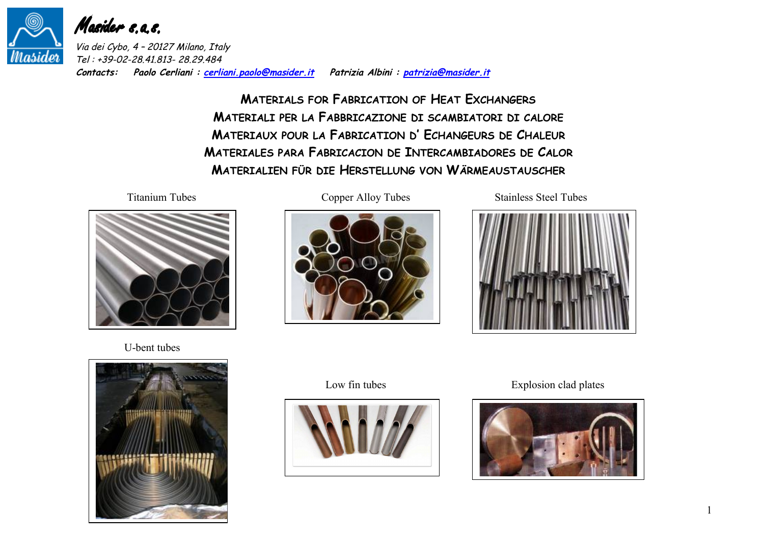

Masider s.a.s.

Via dei Cybo, 4 – 20127 Milano, Italy Tel : +39-02-28.41.813- 28.29.484 **Contacts: Paolo Cerliani : cerliani.paolo@masider.it Patrizia Albini : patrizia@masider.it**

> **MATERIALS FOR FABRICATION OF HEAT EXCHANGERS MATERIALI PER LA FABBRICAZIONE DI SCAMBIATORI DI CALORE MATERIAUX POUR LA FABRICATION D' ECHANGEURS DE CHALEUR MATERIALES PARA FABRICACION DE INTERCAMBIADORES DE CALOR MATERIALIEN FÜR DIE HERSTELLUNG VON WÄRMEAUSTAUSCHER**



U-bent tubes





Titanium Tubes Copper Alloy Tubes Stainless Steel Tubes





Low fin tubes Explosion clad plates

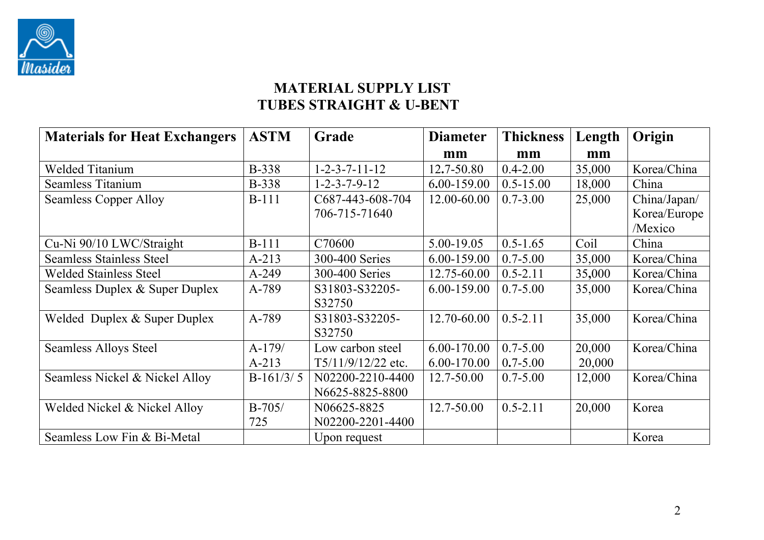

# **MATERIAL SUPPLY LIST TUBES STRAIGHT & U-BENT**

| <b>Materials for Heat Exchangers</b> | <b>ASTM</b>  | Grade                     | <b>Diameter</b> | <b>Thickness</b> | Length | Origin       |
|--------------------------------------|--------------|---------------------------|-----------------|------------------|--------|--------------|
|                                      |              |                           | mm              | mm               | mm     |              |
| <b>Welded Titanium</b>               | <b>B-338</b> | $1 - 2 - 3 - 7 - 11 - 12$ | 12.7-50.80      | $0.4 - 2.00$     | 35,000 | Korea/China  |
| Seamless Titanium                    | <b>B-338</b> | $1 - 2 - 3 - 7 - 9 - 12$  | 6.00-159.00     | $0.5 - 15.00$    | 18,000 | China        |
| <b>Seamless Copper Alloy</b>         | $B-111$      | C687-443-608-704          | 12.00-60.00     | $0.7 - 3.00$     | 25,000 | China/Japan/ |
|                                      |              | 706-715-71640             |                 |                  |        | Korea/Europe |
|                                      |              |                           |                 |                  |        | /Mexico      |
| Cu-Ni 90/10 LWC/Straight             | <b>B-111</b> | C70600                    | 5.00-19.05      | $0.5 - 1.65$     | Coil   | China        |
| <b>Seamless Stainless Steel</b>      | $A - 213$    | 300-400 Series            | 6.00-159.00     | $0.7 - 5.00$     | 35,000 | Korea/China  |
| <b>Welded Stainless Steel</b>        | $A-249$      | 300-400 Series            | 12.75-60.00     | $0.5 - 2.11$     | 35,000 | Korea/China  |
| Seamless Duplex & Super Duplex       | A-789        | S31803-S32205-            | 6.00-159.00     | $0.7 - 5.00$     | 35,000 | Korea/China  |
|                                      |              | S32750                    |                 |                  |        |              |
| Welded Duplex & Super Duplex         | A-789        | S31803-S32205-            | 12.70-60.00     | $0.5 - 2.11$     | 35,000 | Korea/China  |
|                                      |              | S32750                    |                 |                  |        |              |
| <b>Seamless Alloys Steel</b>         | $A-179/$     | Low carbon steel          | 6.00-170.00     | $0.7 - 5.00$     | 20,000 | Korea/China  |
|                                      | $A-213$      | T5/11/9/12/22 etc.        | 6.00-170.00     | $0.7 - 5.00$     | 20,000 |              |
| Seamless Nickel & Nickel Alloy       | $B-161/3/5$  | N02200-2210-4400          | 12.7-50.00      | $0.7 - 5.00$     | 12,000 | Korea/China  |
|                                      |              | N6625-8825-8800           |                 |                  |        |              |
| Welded Nickel & Nickel Alloy         | $B-705/$     | N06625-8825               | 12.7-50.00      | $0.5 - 2.11$     | 20,000 | Korea        |
|                                      | 725          | N02200-2201-4400          |                 |                  |        |              |
| Seamless Low Fin & Bi-Metal          |              | Upon request              |                 |                  |        | Korea        |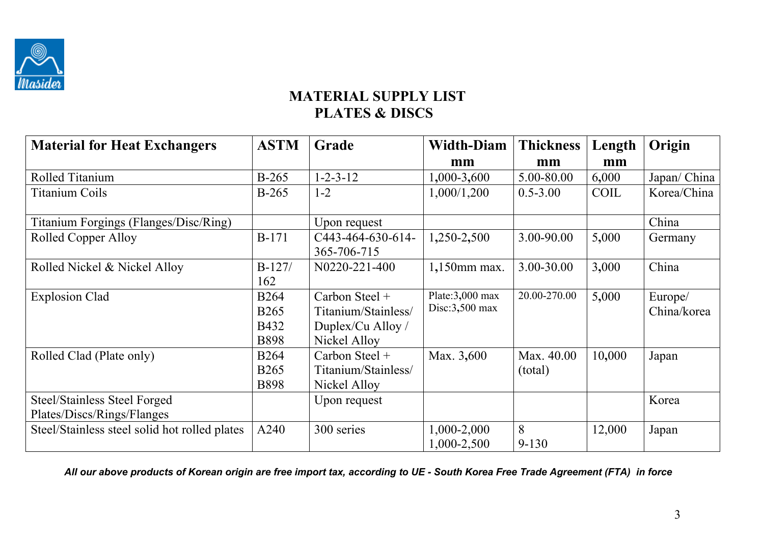

# **MATERIAL SUPPLY LIST PLATES & DISCS**

| <b>Material for Heat Exchangers</b>           | <b>ASTM</b> | Grade               | <b>Width-Diam</b>  | <b>Thickness</b> | Length      | Origin       |
|-----------------------------------------------|-------------|---------------------|--------------------|------------------|-------------|--------------|
|                                               |             |                     | mm                 | mm               | mm          |              |
| Rolled Titanium                               | B-265       | $1 - 2 - 3 - 12$    | 1,000-3,600        | 5.00-80.00       | 6,000       | Japan/ China |
| <b>Titanium Coils</b>                         | $B-265$     | $1 - 2$             | 1,000/1,200        | $0.5 - 3.00$     | <b>COIL</b> | Korea/China  |
|                                               |             |                     |                    |                  |             |              |
| Titanium Forgings (Flanges/Disc/Ring)         |             | Upon request        |                    |                  |             | China        |
| Rolled Copper Alloy                           | $B-171$     | C443-464-630-614-   | 1,250-2,500        | 3.00-90.00       | 5,000       | Germany      |
|                                               |             | 365-706-715         |                    |                  |             |              |
| Rolled Nickel & Nickel Alloy                  | $B-127/$    | N0220-221-400       | 1,150mm max.       | 3.00-30.00       | 3,000       | China        |
|                                               | 162         |                     |                    |                  |             |              |
| <b>Explosion Clad</b>                         | <b>B264</b> | Carbon Steel +      | Plate: $3,000$ max | 20.00-270.00     | 5,000       | Europe/      |
|                                               | <b>B265</b> | Titanium/Stainless/ | Disc: $3,500$ max  |                  |             | China/korea  |
|                                               | B432        | Duplex/Cu Alloy /   |                    |                  |             |              |
|                                               | <b>B898</b> | Nickel Alloy        |                    |                  |             |              |
| Rolled Clad (Plate only)                      | <b>B264</b> | Carbon Steel $+$    | Max. 3,600         | Max. 40.00       | 10,000      | Japan        |
|                                               | <b>B265</b> | Titanium/Stainless/ |                    | (total)          |             |              |
|                                               | <b>B898</b> | Nickel Alloy        |                    |                  |             |              |
| <b>Steel/Stainless Steel Forged</b>           |             | Upon request        |                    |                  |             | Korea        |
| Plates/Discs/Rings/Flanges                    |             |                     |                    |                  |             |              |
| Steel/Stainless steel solid hot rolled plates | A240        | 300 series          | 1,000-2,000        | 8                | 12,000      | Japan        |
|                                               |             |                     | 1,000-2,500        | $9 - 130$        |             |              |

*All our above products of Korean origin are free import tax, according to UE - South Korea Free Trade Agreement (FTA) in force*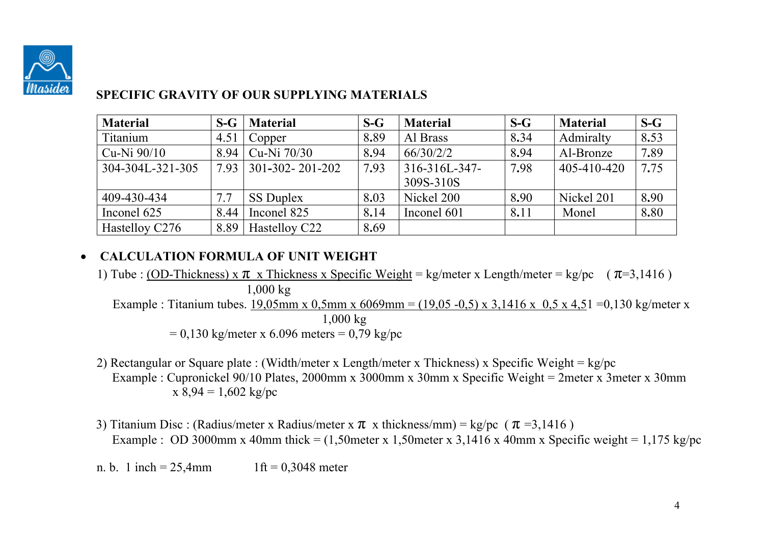

### **SPECIFIC GRAVITY OF OUR SUPPLYING MATERIALS**

| <b>Material</b>  | $S-G$ | <b>Material</b>         | $S-G$ | <b>Material</b> | $S-G$ | <b>Material</b> | $S-G$ |
|------------------|-------|-------------------------|-------|-----------------|-------|-----------------|-------|
| Titanium         | 4.51  | Copper                  | 8.89  | Al Brass        | 8.34  | Admiralty       | 8.53  |
| $Cu-Ni$ 90/10    | 8.94  | Cu-Ni 70/30             | 8.94  | 66/30/2/2       | 8.94  | Al-Bronze       | 7.89  |
| 304-304L-321-305 | 7.93  | $301 - 302 - 201 - 202$ | 7.93  | 316-316L-347-   | 7.98  | 405-410-420     | 7.75  |
|                  |       |                         |       | 309S-310S       |       |                 |       |
| 409-430-434      | 7.7   | <b>SS Duplex</b>        | 8.03  | Nickel 200      | 8.90  | Nickel 201      | 8.90  |
| Inconel 625      | 8.44  | Inconel 825             | 8.14  | Inconel 601     | 8.11  | Monel           | 8.80  |
| Hastelloy C276   | 8.89  | Hastelloy C22           | 8.69  |                 |       |                 |       |

## **CALCULATION FORMULA OF UNIT WEIGHT**

- 1) Tube : (OD-Thickness) x  $\pi$  x Thickness x Specific Weight = kg/meter x Length/meter = kg/pc ( $\pi$ =3,1416) 1,000 kg Example : Titanium tubes. 19,05mm x 0,5mm x 6069mm = (19,05 -0,5) x 3,1416 x 0,5 x 4,51 = 0,130 kg/meter x 1,000 kg  $= 0.130 \text{ kg/meter x } 6.096 \text{ meters} = 0.79 \text{ kg/pc}$
- 2) Rectangular or Square plate : (Width/meter x Length/meter x Thickness) x Specific Weight = kg/pc Example : Cupronickel 90/10 Plates, 2000mm x 3000mm x 30mm x Specific Weight = 2meter x 3meter x 30mm  $x 8,94 = 1,602 \text{ kg/pc}$
- 3) Titanium Disc : (Radius/meter x Radius/meter x  $\pi$  x thickness/mm) = kg/pc ( $\pi$ =3,1416) Example : OD 3000mm x 40mm thick =  $(1,50$ meter x 1,50meter x 3,1416 x 40mm x Specific weight = 1,175 kg/pc

n. b. 1 inch =  $25,4$ mm 1ft =  $0,3048$  meter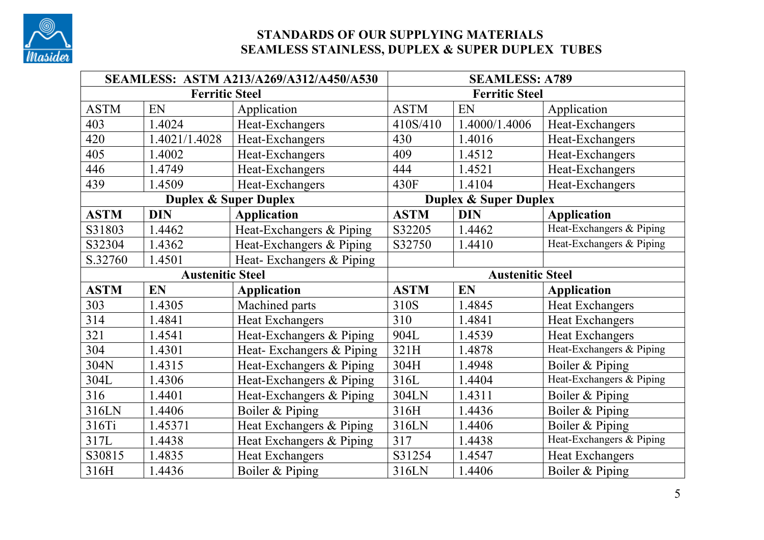

### **STANDARDS OF OUR SUPPLYING MATERIALS SEAMLESS STAINLESS, DUPLEX & SUPER DUPLEX TUBES**

|             |                         | SEAMLESS: ASTM A213/A269/A312/A450/A530 | <b>SEAMLESS: A789</b> |                                  |                          |  |  |
|-------------|-------------------------|-----------------------------------------|-----------------------|----------------------------------|--------------------------|--|--|
|             | <b>Ferritic Steel</b>   |                                         | <b>Ferritic Steel</b> |                                  |                          |  |  |
| <b>ASTM</b> | EN                      | Application                             | <b>ASTM</b>           | EN                               | Application              |  |  |
| 403         | 1.4024                  | Heat-Exchangers                         | 410S/410              | 1.4000/1.4006                    | Heat-Exchangers          |  |  |
| 420         | 1.4021/1.4028           | Heat-Exchangers                         | 430                   | 1.4016                           | Heat-Exchangers          |  |  |
| 405         | 1.4002                  | Heat-Exchangers                         | 409                   | 1.4512                           | Heat-Exchangers          |  |  |
| 446         | 1.4749                  | Heat-Exchangers                         | 444                   | 1.4521                           | Heat-Exchangers          |  |  |
| 439         | 1.4509                  | Heat-Exchangers                         | 430F                  | 1.4104                           | Heat-Exchangers          |  |  |
|             |                         | <b>Duplex &amp; Super Duplex</b>        |                       | <b>Duplex &amp; Super Duplex</b> |                          |  |  |
| <b>ASTM</b> | <b>DIN</b>              | <b>Application</b>                      | <b>ASTM</b>           | <b>DIN</b>                       | <b>Application</b>       |  |  |
| S31803      | 1.4462                  | Heat-Exchangers & Piping                | S32205                | 1.4462                           | Heat-Exchangers & Piping |  |  |
| S32304      | 1.4362                  | Heat-Exchangers & Piping                | S32750                | 1.4410                           | Heat-Exchangers & Piping |  |  |
| S.32760     | 1.4501                  | Heat-Exchangers & Piping                |                       |                                  |                          |  |  |
|             | <b>Austenitic Steel</b> |                                         |                       | <b>Austenitic Steel</b>          |                          |  |  |
| <b>ASTM</b> | EN                      | <b>Application</b>                      | <b>ASTM</b>           | EN                               | <b>Application</b>       |  |  |
| 303         | 1.4305                  | Machined parts                          | 310S                  | 1.4845                           | <b>Heat Exchangers</b>   |  |  |
| 314         | 1.4841                  | <b>Heat Exchangers</b>                  | 310                   | 1.4841                           | <b>Heat Exchangers</b>   |  |  |
| 321         | 1.4541                  | Heat-Exchangers & Piping                | 904L                  | 1.4539                           | <b>Heat Exchangers</b>   |  |  |
| 304         | 1.4301                  | Heat-Exchangers & Piping                | 321H                  | 1.4878                           | Heat-Exchangers & Piping |  |  |
| 304N        | 1.4315                  | Heat-Exchangers & Piping                | 304H                  | 1.4948                           | Boiler & Piping          |  |  |
| 304L        | 1.4306                  | Heat-Exchangers & Piping                | 316L                  | 1.4404                           | Heat-Exchangers & Piping |  |  |
| 316         | 1.4401                  | Heat-Exchangers & Piping                | 304LN                 | 1.4311                           | Boiler & Piping          |  |  |
| 316LN       | 1.4406                  | Boiler & Piping                         | 316H                  | 1.4436                           | Boiler & Piping          |  |  |
| 316Ti       | 1.45371                 | Heat Exchangers & Piping                | 316LN                 | 1.4406                           | Boiler & Piping          |  |  |
| 317L        | 1.4438                  | Heat Exchangers & Piping                | 317                   | 1.4438                           | Heat-Exchangers & Piping |  |  |
| S30815      | 1.4835                  | <b>Heat Exchangers</b>                  | S31254                | 1.4547                           | <b>Heat Exchangers</b>   |  |  |
| 316H        | 1.4436                  | Boiler & Piping                         | 316LN                 | 1.4406                           | Boiler & Piping          |  |  |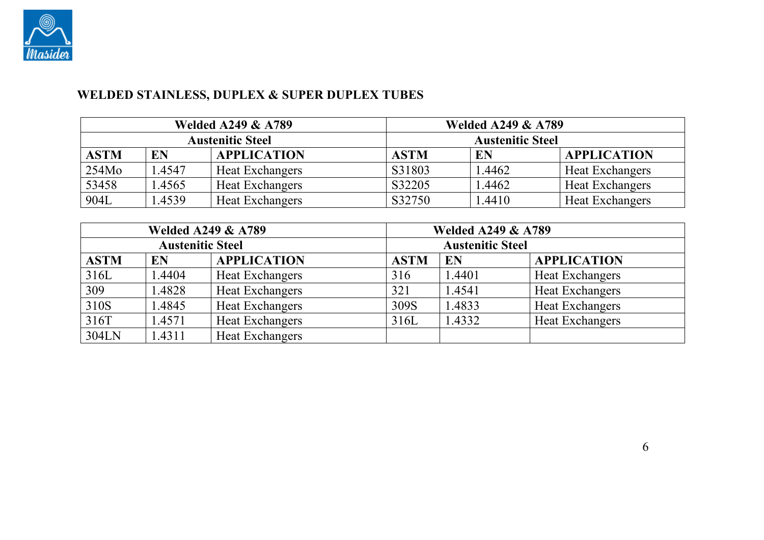

# **WELDED STAINLESS, DUPLEX & SUPER DUPLEX TUBES**

|                   |        | <b>Welded A249 &amp; A789</b> |                         | <b>Welded A249 &amp; A789</b> |                        |  |  |
|-------------------|--------|-------------------------------|-------------------------|-------------------------------|------------------------|--|--|
|                   |        | <b>Austenitic Steel</b>       | <b>Austenitic Steel</b> |                               |                        |  |  |
| <b>ASTM</b>       | EN     | <b>APPLICATION</b>            | <b>ASTM</b>             | EN                            | <b>APPLICATION</b>     |  |  |
| 254M <sub>0</sub> | 1.4547 | Heat Exchangers               | S31803                  | 1.4462                        | <b>Heat Exchangers</b> |  |  |
| 53458             | 1.4565 | Heat Exchangers               | S32205                  | 1.4462                        | <b>Heat Exchangers</b> |  |  |
| 904L              | .4539  | <b>Heat Exchangers</b>        | S32750                  | l.4410                        | <b>Heat Exchangers</b> |  |  |

| <b>Welded A249 &amp; A789</b> |        |                        | <b>Welded A249 &amp; A789</b> |                         |                        |  |
|-------------------------------|--------|------------------------|-------------------------------|-------------------------|------------------------|--|
| <b>Austenitic Steel</b>       |        |                        |                               | <b>Austenitic Steel</b> |                        |  |
| <b>ASTM</b>                   | EN     | <b>APPLICATION</b>     | <b>ASTM</b>                   | EN                      | <b>APPLICATION</b>     |  |
| 316L                          | 1.4404 | Heat Exchangers        | 316                           | 1.4401                  | <b>Heat Exchangers</b> |  |
| 309                           | 1.4828 | Heat Exchangers        | 321                           | 1.4541                  | <b>Heat Exchangers</b> |  |
| 310S                          | 1.4845 | <b>Heat Exchangers</b> | 309S                          | 1.4833                  | <b>Heat Exchangers</b> |  |
| 316T                          | 1.4571 | Heat Exchangers        | 316L                          | 1.4332                  | <b>Heat Exchangers</b> |  |
| 304LN                         | 1.4311 | <b>Heat Exchangers</b> |                               |                         |                        |  |